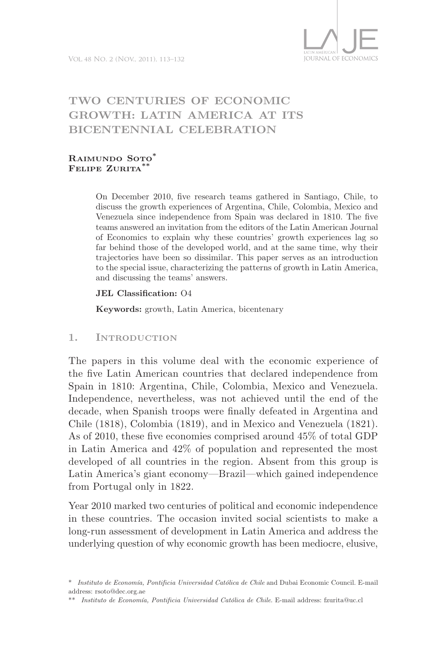

# TWO CENTURIES OF ECONOMIC **GrowTh: LaTin america aT iTs BicenTenniaL ceLeBraTion**

#### **raimundo soto\* felipe Zurita\*\***

On December 2010, five research teams gathered in Santiago, Chile, to discuss the growth experiences of Argentina, Chile, Colombia, Mexico and Venezuela since independence from Spain was declared in 1810. The five teams answered an invitation from the editors of the Latin American Journal of Economics to explain why these countries' growth experiences lag so far behind those of the developed world, and at the same time, why their trajectories have been so dissimilar. This paper serves as an introduction to the special issue, characterizing the patterns of growth in Latin America, and discussing the teams' answers.

#### **JeL classification:** O4

**Keywords:** growth, Latin America, bicentenary

**1. introduction**

The papers in this volume deal with the economic experience of the five Latin American countries that declared independence from Spain in 1810: Argentina, Chile, Colombia, Mexico and Venezuela. Independence, nevertheless, was not achieved until the end of the decade, when Spanish troops were finally defeated in Argentina and Chile (1818), Colombia (1819), and in Mexico and Venezuela (1821). As of 2010, these five economies comprised around 45% of total GDP in Latin America and 42% of population and represented the most developed of all countries in the region. Absent from this group is Latin America's giant economy—Brazil—which gained independence from Portugal only in 1822.

Year 2010 marked two centuries of political and economic independence in these countries. The occasion invited social scientists to make a long-run assessment of development in Latin America and address the underlying question of why economic growth has been mediocre, elusive,

<sup>\*</sup> *Instituto de Economía, Pontificia Universidad Católica de Chile* and Dubai Economic Council. E-mail address: rsoto@dec.org.ae

<sup>\*\*</sup> *Instituto de Economía, Pontificia Universidad Católica de Chile*. E-mail address: fzurita@uc.cl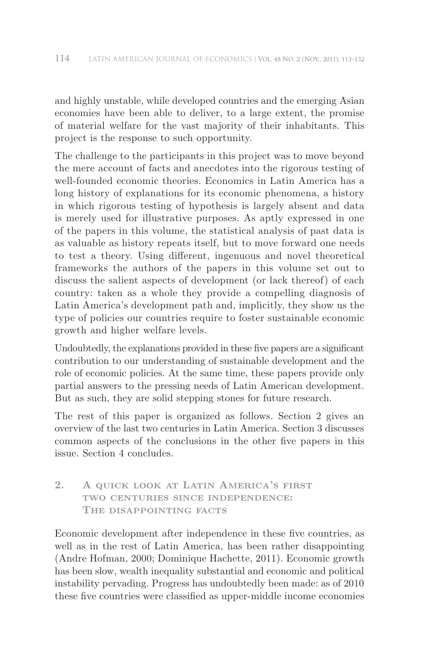and highly unstable, while developed countries and the emerging Asian economies have been able to deliver, to a large extent, the promise of material welfare for the vast majority of their inhabitants. This project is the response to such opportunity.

The challenge to the participants in this project was to move beyond the mere account of facts and anecdotes into the rigorous testing of well-founded economic theories. Economics in Latin America has a long history of explanations for its economic phenomena, a history in which rigorous testing of hypothesis is largely absent and data is merely used for illustrative purposes. As aptly expressed in one of the papers in this volume, the statistical analysis of past data is as valuable as history repeats itself, but to move forward one needs to test a theory. Using different, ingenuous and novel theoretical frameworks the authors of the papers in this volume set out to discuss the salient aspects of development (or lack thereof) of each country: taken as a whole they provide a compelling diagnosis of Latin America's development path and, implicitly, they show us the type of policies our countries require to foster sustainable economic growth and higher welfare levels.

Undoubtedly, the explanations provided in these five papers are a significant contribution to our understanding of sustainable development and the role of economic policies. At the same time, these papers provide only partial answers to the pressing needs of Latin American development. But as such, they are solid stepping stones for future research.

The rest of this paper is organized as follows. Section 2 gives an overview of the last two centuries in Latin America. Section 3 discusses common aspects of the conclusions in the other five papers in this issue. Section 4 concludes.

# **2. a quick look at Latin america's first two centuries since independence: The disappointing facts**

Economic development after independence in these five countries, as well as in the rest of Latin America, has been rather disappointing (Andre Hofman, 2000; Dominique Hachette, 2011). Economic growth has been slow, wealth inequality substantial and economic and political instability pervading. Progress has undoubtedly been made: as of 2010 these five countries were classified as upper-middle income economies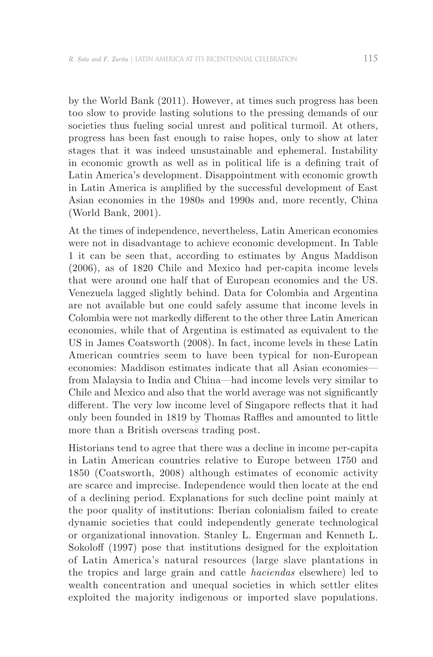by the World Bank (2011). However, at times such progress has been too slow to provide lasting solutions to the pressing demands of our societies thus fueling social unrest and political turmoil. At others, progress has been fast enough to raise hopes, only to show at later stages that it was indeed unsustainable and ephemeral. Instability in economic growth as well as in political life is a defining trait of Latin America's development. Disappointment with economic growth in Latin America is amplified by the successful development of East Asian economies in the 1980s and 1990s and, more recently, China (World Bank, 2001).

At the times of independence, nevertheless, Latin American economies were not in disadvantage to achieve economic development. In Table 1 it can be seen that, according to estimates by Angus Maddison (2006), as of 1820 Chile and Mexico had per-capita income levels that were around one half that of European economies and the US. Venezuela lagged slightly behind. Data for Colombia and Argentina are not available but one could safely assume that income levels in Colombia were not markedly different to the other three Latin American economies, while that of Argentina is estimated as equivalent to the US in James Coatsworth (2008). In fact, income levels in these Latin American countries seem to have been typical for non-European economies: Maddison estimates indicate that all Asian economies from Malaysia to India and China—had income levels very similar to Chile and Mexico and also that the world average was not significantly different. The very low income level of Singapore reflects that it had only been founded in 1819 by Thomas Raffles and amounted to little more than a British overseas trading post.

Historians tend to agree that there was a decline in income per-capita in Latin American countries relative to Europe between 1750 and 1850 (Coatsworth, 2008) although estimates of economic activity are scarce and imprecise. Independence would then locate at the end of a declining period. Explanations for such decline point mainly at the poor quality of institutions: Iberian colonialism failed to create dynamic societies that could independently generate technological or organizational innovation. Stanley L. Engerman and Kenneth L. Sokoloff (1997) pose that institutions designed for the exploitation of Latin America's natural resources (large slave plantations in the tropics and large grain and cattle *haciendas* elsewhere) led to wealth concentration and unequal societies in which settler elites exploited the majority indigenous or imported slave populations.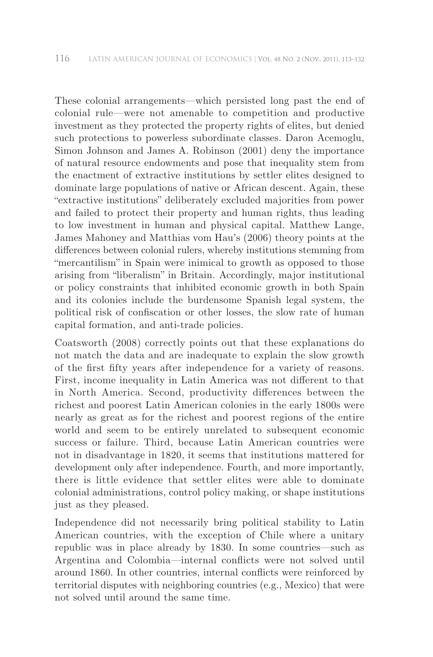These colonial arrangements—which persisted long past the end of colonial rule—were not amenable to competition and productive investment as they protected the property rights of elites, but denied such protections to powerless subordinate classes. Daron Acemoglu, Simon Johnson and James A. Robinson (2001) deny the importance of natural resource endowments and pose that inequality stem from the enactment of extractive institutions by settler elites designed to dominate large populations of native or African descent. Again, these "extractive institutions" deliberately excluded majorities from power and failed to protect their property and human rights, thus leading to low investment in human and physical capital. Matthew Lange, James Mahoney and Matthias vom Hau's (2006) theory points at the differences between colonial rulers, whereby institutions stemming from "mercantilism" in Spain were inimical to growth as opposed to those arising from "liberalism" in Britain. Accordingly, major institutional or policy constraints that inhibited economic growth in both Spain and its colonies include the burdensome Spanish legal system, the political risk of confiscation or other losses, the slow rate of human capital formation, and anti-trade policies.

Coatsworth (2008) correctly points out that these explanations do not match the data and are inadequate to explain the slow growth of the first fifty years after independence for a variety of reasons. First, income inequality in Latin America was not different to that in North America. Second, productivity differences between the richest and poorest Latin American colonies in the early 1800s were nearly as great as for the richest and poorest regions of the entire world and seem to be entirely unrelated to subsequent economic success or failure. Third, because Latin American countries were not in disadvantage in 1820, it seems that institutions mattered for development only after independence. Fourth, and more importantly, there is little evidence that settler elites were able to dominate colonial administrations, control policy making, or shape institutions just as they pleased.

Independence did not necessarily bring political stability to Latin American countries, with the exception of Chile where a unitary republic was in place already by 1830. In some countries—such as Argentina and Colombia—internal conflicts were not solved until around 1860. In other countries, internal conflicts were reinforced by territorial disputes with neighboring countries (e.g., Mexico) that were not solved until around the same time.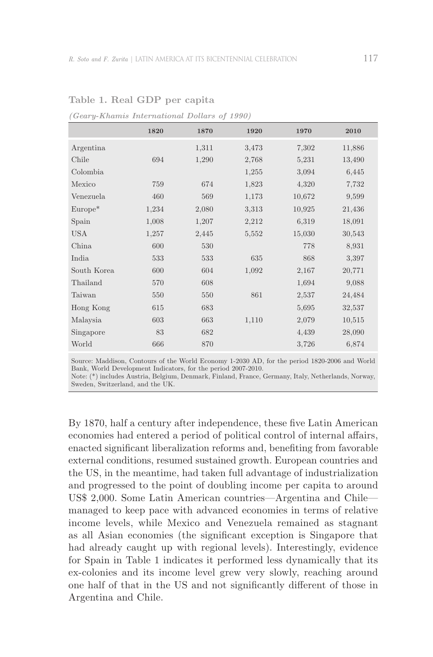|             | 1820  | 1870  | 1920  | 1970   | 2010   |
|-------------|-------|-------|-------|--------|--------|
| Argentina   |       | 1,311 | 3,473 | 7,302  | 11,886 |
| Chile       | 694   | 1,290 | 2,768 | 5,231  | 13,490 |
| Colombia    |       |       | 1,255 | 3,094  | 6,445  |
| Mexico      | 759   | 674   | 1,823 | 4,320  | 7,732  |
| Venezuela   | 460   | 569   | 1,173 | 10,672 | 9,599  |
| $Europe^*$  | 1,234 | 2,080 | 3,313 | 10,925 | 21,436 |
| Spain       | 1,008 | 1,207 | 2,212 | 6,319  | 18,091 |
| <b>USA</b>  | 1,257 | 2,445 | 5,552 | 15,030 | 30,543 |
| China       | 600   | 530   |       | 778    | 8,931  |
| India       | 533   | 533   | 635   | 868    | 3,397  |
| South Korea | 600   | 604   | 1,092 | 2,167  | 20,771 |
| Thailand    | 570   | 608   |       | 1,694  | 9,088  |
| Taiwan      | 550   | 550   | 861   | 2,537  | 24,484 |
| Hong Kong   | 615   | 683   |       | 5,695  | 32,537 |
| Malaysia    | 603   | 663   | 1,110 | 2,079  | 10,515 |
| Singapore   | 83    | 682   |       | 4,439  | 28,090 |
| World       | 666   | 870   |       | 3,726  | 6,874  |

Table 1. Real GDP per capita

*(Geary-Khamis International Dollars of 1990)*

Source: Maddison, Contours of the World Economy 1-2030 AD, for the period 1820-2006 and World Bank, World Development Indicators, for the period 2007-2010.

Note: (\*) includes Austria, Belgium, Denmark, Finland, France, Germany, Italy, Netherlands, Norway, Sweden, Switzerland, and the UK.

By 1870, half a century after independence, these five Latin American economies had entered a period of political control of internal affairs, enacted significant liberalization reforms and, benefiting from favorable external conditions, resumed sustained growth. European countries and the US, in the meantime, had taken full advantage of industrialization and progressed to the point of doubling income per capita to around US\$ 2,000. Some Latin American countries—Argentina and Chile managed to keep pace with advanced economies in terms of relative income levels, while Mexico and Venezuela remained as stagnant as all Asian economies (the significant exception is Singapore that had already caught up with regional levels). Interestingly, evidence for Spain in Table 1 indicates it performed less dynamically that its ex-colonies and its income level grew very slowly, reaching around one half of that in the US and not significantly different of those in Argentina and Chile.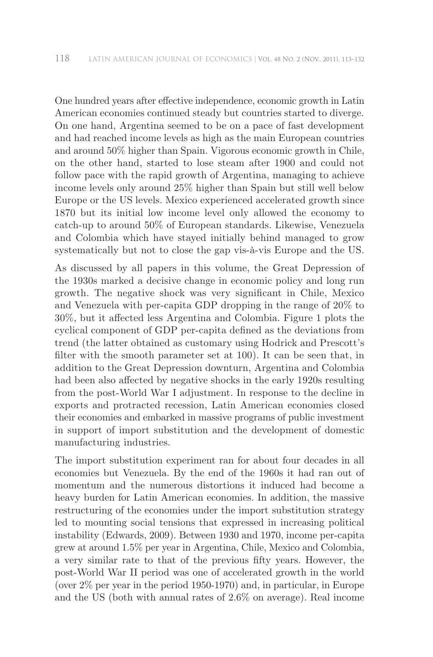One hundred years after effective independence, economic growth in Latin American economies continued steady but countries started to diverge. On one hand, Argentina seemed to be on a pace of fast development and had reached income levels as high as the main European countries and around 50% higher than Spain. Vigorous economic growth in Chile, on the other hand, started to lose steam after 1900 and could not follow pace with the rapid growth of Argentina, managing to achieve income levels only around 25% higher than Spain but still well below Europe or the US levels. Mexico experienced accelerated growth since 1870 but its initial low income level only allowed the economy to catch-up to around 50% of European standards. Likewise, Venezuela and Colombia which have stayed initially behind managed to grow systematically but not to close the gap vis-à-vis Europe and the US.

As discussed by all papers in this volume, the Great Depression of the 1930s marked a decisive change in economic policy and long run growth. The negative shock was very significant in Chile, Mexico and Venezuela with per-capita GDP dropping in the range of 20% to 30%, but it affected less Argentina and Colombia. Figure 1 plots the cyclical component of GDP per-capita defined as the deviations from trend (the latter obtained as customary using Hodrick and Prescott's filter with the smooth parameter set at 100). It can be seen that, in addition to the Great Depression downturn, Argentina and Colombia had been also affected by negative shocks in the early 1920s resulting from the post-World War I adjustment. In response to the decline in exports and protracted recession, Latin American economies closed their economies and embarked in massive programs of public investment in support of import substitution and the development of domestic manufacturing industries.

The import substitution experiment ran for about four decades in all economies but Venezuela. By the end of the 1960s it had ran out of momentum and the numerous distortions it induced had become a heavy burden for Latin American economies. In addition, the massive restructuring of the economies under the import substitution strategy led to mounting social tensions that expressed in increasing political instability (Edwards, 2009). Between 1930 and 1970, income per-capita grew at around 1.5% per year in Argentina, Chile, Mexico and Colombia, a very similar rate to that of the previous fifty years. However, the post-World War II period was one of accelerated growth in the world (over 2% per year in the period 1950-1970) and, in particular, in Europe and the US (both with annual rates of 2.6% on average). Real income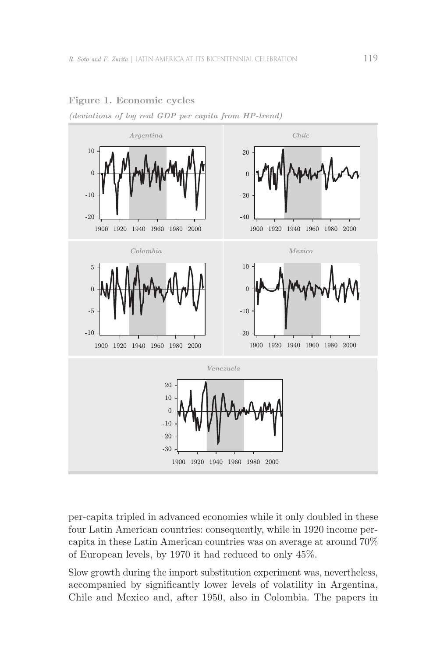

**figure 1. Economic cycles** 

*(deviations of log real GDP per capita from HP-trend)*

per-capita tripled in advanced economies while it only doubled in these four Latin American countries: consequently, while in 1920 income percapita in these Latin American countries was on average at around 70% of European levels, by 1970 it had reduced to only 45%.

Slow growth during the import substitution experiment was, nevertheless, accompanied by significantly lower levels of volatility in Argentina, Chile and Mexico and, after 1950, also in Colombia. The papers in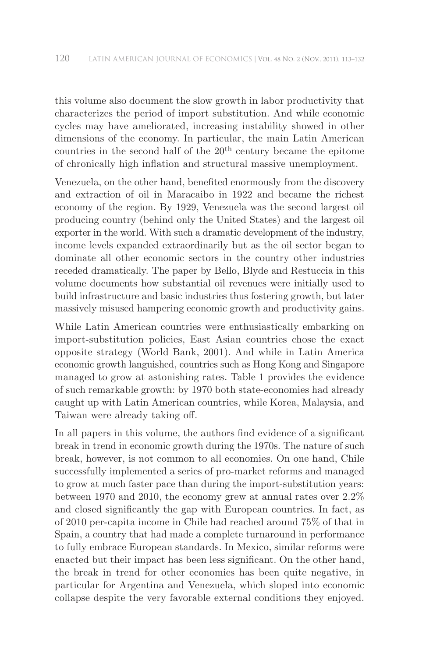this volume also document the slow growth in labor productivity that characterizes the period of import substitution. And while economic cycles may have ameliorated, increasing instability showed in other dimensions of the economy. In particular, the main Latin American countries in the second half of the  $20<sup>th</sup>$  century became the epitome of chronically high inflation and structural massive unemployment.

Venezuela, on the other hand, benefited enormously from the discovery and extraction of oil in Maracaibo in 1922 and became the richest economy of the region. By 1929, Venezuela was the second largest oil producing country (behind only the United States) and the largest oil exporter in the world. With such a dramatic development of the industry, income levels expanded extraordinarily but as the oil sector began to dominate all other economic sectors in the country other industries receded dramatically. The paper by Bello, Blyde and Restuccia in this volume documents how substantial oil revenues were initially used to build infrastructure and basic industries thus fostering growth, but later massively misused hampering economic growth and productivity gains.

While Latin American countries were enthusiastically embarking on import-substitution policies, East Asian countries chose the exact opposite strategy (World Bank, 2001). And while in Latin America economic growth languished, countries such as Hong Kong and Singapore managed to grow at astonishing rates. Table 1 provides the evidence of such remarkable growth: by 1970 both state-economies had already caught up with Latin American countries, while Korea, Malaysia, and Taiwan were already taking off.

In all papers in this volume, the authors find evidence of a significant break in trend in economic growth during the 1970s. The nature of such break, however, is not common to all economies. On one hand, Chile successfully implemented a series of pro-market reforms and managed to grow at much faster pace than during the import-substitution years: between 1970 and 2010, the economy grew at annual rates over 2.2% and closed significantly the gap with European countries. In fact, as of 2010 per-capita income in Chile had reached around 75% of that in Spain, a country that had made a complete turnaround in performance to fully embrace European standards. In Mexico, similar reforms were enacted but their impact has been less significant. On the other hand, the break in trend for other economies has been quite negative, in particular for Argentina and Venezuela, which sloped into economic collapse despite the very favorable external conditions they enjoyed.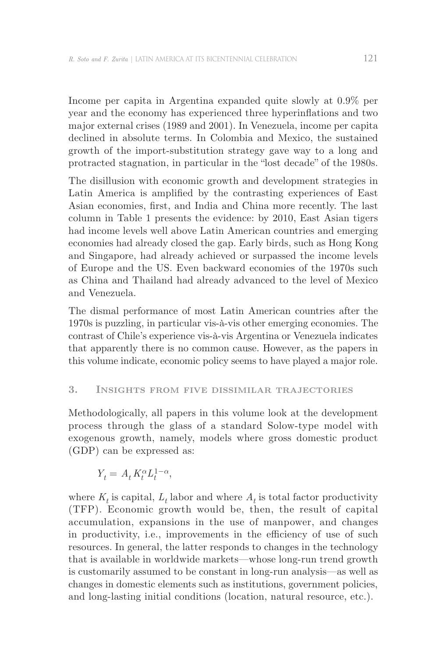Income per capita in Argentina expanded quite slowly at 0.9% per year and the economy has experienced three hyperinflations and two major external crises (1989 and 2001). In Venezuela, income per capita declined in absolute terms. In Colombia and Mexico, the sustained growth of the import-substitution strategy gave way to a long and protracted stagnation, in particular in the "lost decade" of the 1980s.

The disillusion with economic growth and development strategies in Latin America is amplified by the contrasting experiences of East Asian economies, first, and India and China more recently. The last column in Table 1 presents the evidence: by 2010, East Asian tigers had income levels well above Latin American countries and emerging economies had already closed the gap. Early birds, such as Hong Kong and Singapore, had already achieved or surpassed the income levels of Europe and the US. Even backward economies of the 1970s such as China and Thailand had already advanced to the level of Mexico and Venezuela.

The dismal performance of most Latin American countries after the 1970s is puzzling, in particular vis-à-vis other emerging economies. The contrast of Chile's experience vis-à-vis Argentina or Venezuela indicates that apparently there is no common cause. However, as the papers in this volume indicate, economic policy seems to have played a major role.

### **3. insights from five dissimilar trajectories**

Methodologically, all papers in this volume look at the development process through the glass of a standard Solow-type model with exogenous growth, namely, models where gross domestic product (GDP) can be expressed as:

$$
Y_t=A_t\,K_t^{\alpha}L_t^{1-\alpha},
$$

where  $K_t$  is capital,  $L_t$  labor and where  $A_t$  is total factor productivity (TFP). Economic growth would be, then, the result of capital accumulation, expansions in the use of manpower, and changes in productivity, i.e., improvements in the efficiency of use of such resources. In general, the latter responds to changes in the technology that is available in worldwide markets—whose long-run trend growth is customarily assumed to be constant in long-run analysis—as well as changes in domestic elements such as institutions, government policies, and long-lasting initial conditions (location, natural resource, etc.).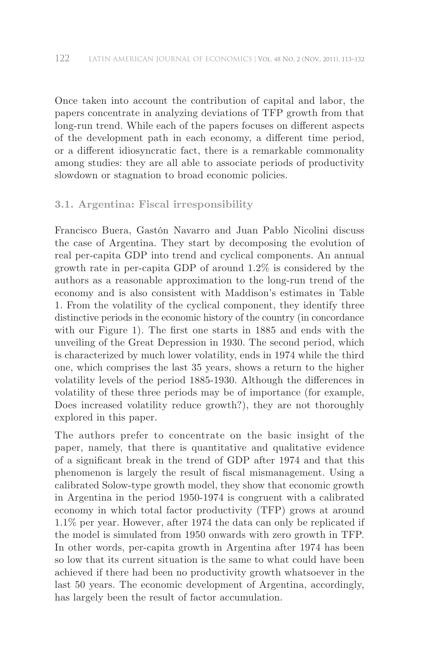Once taken into account the contribution of capital and labor, the papers concentrate in analyzing deviations of TFP growth from that long-run trend. While each of the papers focuses on different aspects of the development path in each economy, a different time period, or a different idiosyncratic fact, there is a remarkable commonality among studies: they are all able to associate periods of productivity slowdown or stagnation to broad economic policies.

# **3.1. argentina: fiscal irresponsibility**

Francisco Buera, Gastón Navarro and Juan Pablo Nicolini discuss the case of Argentina. They start by decomposing the evolution of real per-capita GDP into trend and cyclical components. An annual growth rate in per-capita GDP of around 1.2% is considered by the authors as a reasonable approximation to the long-run trend of the economy and is also consistent with Maddison's estimates in Table 1. From the volatility of the cyclical component, they identify three distinctive periods in the economic history of the country (in concordance with our Figure 1). The first one starts in 1885 and ends with the unveiling of the Great Depression in 1930. The second period, which is characterized by much lower volatility, ends in 1974 while the third one, which comprises the last 35 years, shows a return to the higher volatility levels of the period 1885-1930. Although the differences in volatility of these three periods may be of importance (for example, Does increased volatility reduce growth?), they are not thoroughly explored in this paper.

The authors prefer to concentrate on the basic insight of the paper, namely, that there is quantitative and qualitative evidence of a significant break in the trend of GDP after 1974 and that this phenomenon is largely the result of fiscal mismanagement. Using a calibrated Solow-type growth model, they show that economic growth in Argentina in the period 1950-1974 is congruent with a calibrated economy in which total factor productivity (TFP) grows at around 1.1% per year. However, after 1974 the data can only be replicated if the model is simulated from 1950 onwards with zero growth in TFP. In other words, per-capita growth in Argentina after 1974 has been so low that its current situation is the same to what could have been achieved if there had been no productivity growth whatsoever in the last 50 years. The economic development of Argentina, accordingly, has largely been the result of factor accumulation.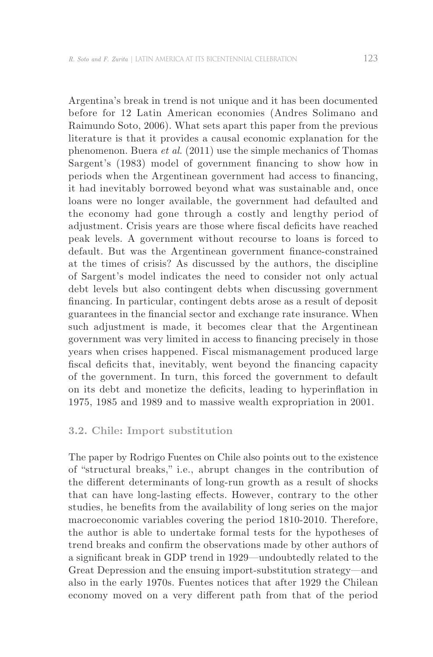Argentina's break in trend is not unique and it has been documented before for 12 Latin American economies (Andres Solimano and Raimundo Soto, 2006). What sets apart this paper from the previous literature is that it provides a causal economic explanation for the phenomenon. Buera *et al*. (2011) use the simple mechanics of Thomas Sargent's (1983) model of government financing to show how in periods when the Argentinean government had access to financing, it had inevitably borrowed beyond what was sustainable and, once loans were no longer available, the government had defaulted and the economy had gone through a costly and lengthy period of adjustment. Crisis years are those where fiscal deficits have reached peak levels. A government without recourse to loans is forced to default. But was the Argentinean government finance-constrained at the times of crisis? As discussed by the authors, the discipline of Sargent's model indicates the need to consider not only actual debt levels but also contingent debts when discussing government financing. In particular, contingent debts arose as a result of deposit guarantees in the financial sector and exchange rate insurance. When such adjustment is made, it becomes clear that the Argentinean government was very limited in access to financing precisely in those years when crises happened. Fiscal mismanagement produced large fiscal deficits that, inevitably, went beyond the financing capacity of the government. In turn, this forced the government to default on its debt and monetize the deficits, leading to hyperinflation in 1975, 1985 and 1989 and to massive wealth expropriation in 2001.

#### **3.2. chile: import substitution**

The paper by Rodrigo Fuentes on Chile also points out to the existence of "structural breaks," i.e., abrupt changes in the contribution of the different determinants of long-run growth as a result of shocks that can have long-lasting effects. However, contrary to the other studies, he benefits from the availability of long series on the major macroeconomic variables covering the period 1810-2010. Therefore, the author is able to undertake formal tests for the hypotheses of trend breaks and confirm the observations made by other authors of a significant break in GDP trend in 1929—undoubtedly related to the Great Depression and the ensuing import-substitution strategy—and also in the early 1970s. Fuentes notices that after 1929 the Chilean economy moved on a very different path from that of the period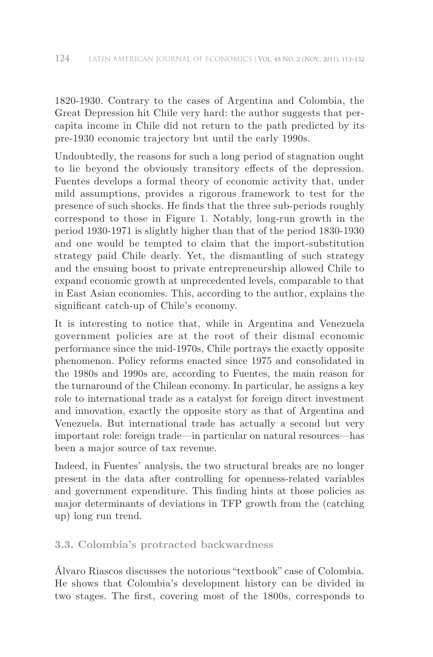1820-1930. Contrary to the cases of Argentina and Colombia, the Great Depression hit Chile very hard: the author suggests that percapita income in Chile did not return to the path predicted by its pre-1930 economic trajectory but until the early 1990s.

Undoubtedly, the reasons for such a long period of stagnation ought to lie beyond the obviously transitory effects of the depression. Fuentes develops a formal theory of economic activity that, under mild assumptions, provides a rigorous framework to test for the presence of such shocks. He finds that the three sub-periods roughly correspond to those in Figure 1. Notably, long-run growth in the period 1930-1971 is slightly higher than that of the period 1830-1930 and one would be tempted to claim that the import-substitution strategy paid Chile dearly. Yet, the dismantling of such strategy and the ensuing boost to private entrepreneurship allowed Chile to expand economic growth at unprecedented levels, comparable to that in East Asian economies. This, according to the author, explains the significant catch-up of Chile's economy.

It is interesting to notice that, while in Argentina and Venezuela government policies are at the root of their dismal economic performance since the mid-1970s, Chile portrays the exactly opposite phenomenon. Policy reforms enacted since 1975 and consolidated in the 1980s and 1990s are, according to Fuentes, the main reason for the turnaround of the Chilean economy. In particular, he assigns a key role to international trade as a catalyst for foreign direct investment and innovation, exactly the opposite story as that of Argentina and Venezuela. But international trade has actually a second but very important role: foreign trade—in particular on natural resources—has been a major source of tax revenue.

Indeed, in Fuentes' analysis, the two structural breaks are no longer present in the data after controlling for openness-related variables and government expenditure. This finding hints at those policies as major determinants of deviations in TFP growth from the (catching up) long run trend.

# **3.3. colombia's protracted backwardness**

Álvaro Riascos discusses the notorious "textbook" case of Colombia. He shows that Colombia's development history can be divided in two stages. The first, covering most of the 1800s, corresponds to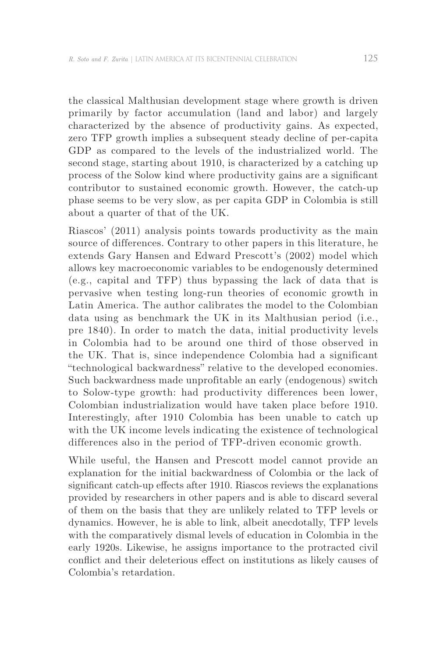the classical Malthusian development stage where growth is driven primarily by factor accumulation (land and labor) and largely characterized by the absence of productivity gains. As expected, zero TFP growth implies a subsequent steady decline of per-capita GDP as compared to the levels of the industrialized world. The second stage, starting about 1910, is characterized by a catching up process of the Solow kind where productivity gains are a significant contributor to sustained economic growth. However, the catch-up phase seems to be very slow, as per capita GDP in Colombia is still about a quarter of that of the UK.

Riascos' (2011) analysis points towards productivity as the main source of differences. Contrary to other papers in this literature, he extends Gary Hansen and Edward Prescott's (2002) model which allows key macroeconomic variables to be endogenously determined (e.g., capital and TFP) thus bypassing the lack of data that is pervasive when testing long-run theories of economic growth in Latin America. The author calibrates the model to the Colombian data using as benchmark the UK in its Malthusian period (i.e., pre 1840). In order to match the data, initial productivity levels in Colombia had to be around one third of those observed in the UK. That is, since independence Colombia had a significant "technological backwardness" relative to the developed economies. Such backwardness made unprofitable an early (endogenous) switch to Solow-type growth: had productivity differences been lower, Colombian industrialization would have taken place before 1910. Interestingly, after 1910 Colombia has been unable to catch up with the UK income levels indicating the existence of technological differences also in the period of TFP-driven economic growth.

While useful, the Hansen and Prescott model cannot provide an explanation for the initial backwardness of Colombia or the lack of significant catch-up effects after 1910. Riascos reviews the explanations provided by researchers in other papers and is able to discard several of them on the basis that they are unlikely related to TFP levels or dynamics. However, he is able to link, albeit anecdotally, TFP levels with the comparatively dismal levels of education in Colombia in the early 1920s. Likewise, he assigns importance to the protracted civil conflict and their deleterious effect on institutions as likely causes of Colombia's retardation.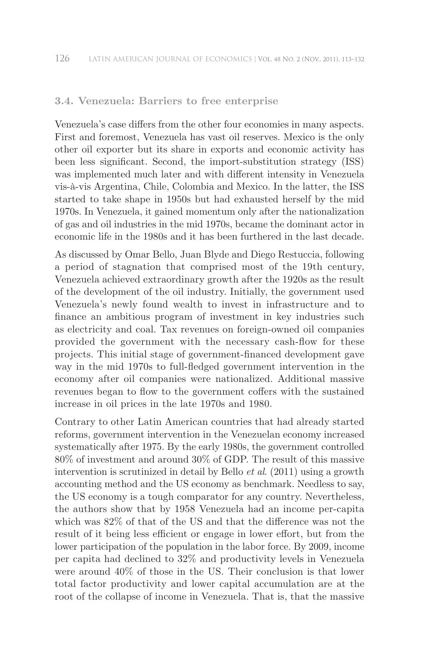# **3.4. Venezuela: Barriers to free enterprise**

Venezuela's case differs from the other four economies in many aspects. First and foremost, Venezuela has vast oil reserves. Mexico is the only other oil exporter but its share in exports and economic activity has been less significant. Second, the import-substitution strategy (ISS) was implemented much later and with different intensity in Venezuela vis-à-vis Argentina, Chile, Colombia and Mexico. In the latter, the ISS started to take shape in 1950s but had exhausted herself by the mid 1970s. In Venezuela, it gained momentum only after the nationalization of gas and oil industries in the mid 1970s, became the dominant actor in economic life in the 1980s and it has been furthered in the last decade.

As discussed by Omar Bello, Juan Blyde and Diego Restuccia, following a period of stagnation that comprised most of the 19th century, Venezuela achieved extraordinary growth after the 1920s as the result of the development of the oil industry. Initially, the government used Venezuela's newly found wealth to invest in infrastructure and to finance an ambitious program of investment in key industries such as electricity and coal. Tax revenues on foreign-owned oil companies provided the government with the necessary cash-flow for these projects. This initial stage of government-financed development gave way in the mid 1970s to full-fledged government intervention in the economy after oil companies were nationalized. Additional massive revenues began to flow to the government coffers with the sustained increase in oil prices in the late 1970s and 1980.

Contrary to other Latin American countries that had already started reforms, government intervention in the Venezuelan economy increased systematically after 1975. By the early 1980s, the government controlled 80% of investment and around 30% of GDP. The result of this massive intervention is scrutinized in detail by Bello *et al*. (2011) using a growth accounting method and the US economy as benchmark. Needless to say, the US economy is a tough comparator for any country. Nevertheless, the authors show that by 1958 Venezuela had an income per-capita which was 82% of that of the US and that the difference was not the result of it being less efficient or engage in lower effort, but from the lower participation of the population in the labor force. By 2009, income per capita had declined to 32% and productivity levels in Venezuela were around 40% of those in the US. Their conclusion is that lower total factor productivity and lower capital accumulation are at the root of the collapse of income in Venezuela. That is, that the massive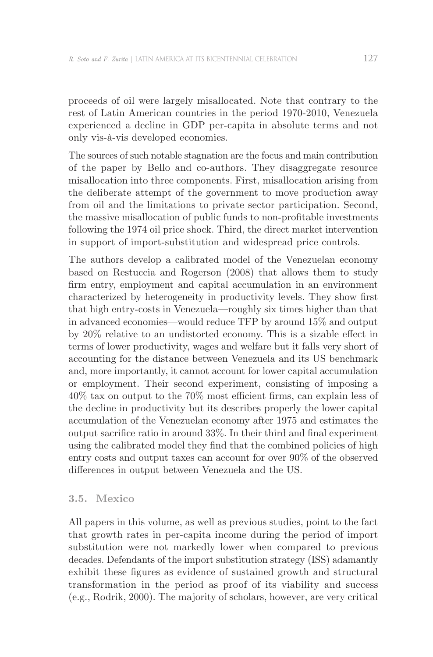proceeds of oil were largely misallocated. Note that contrary to the rest of Latin American countries in the period 1970-2010, Venezuela experienced a decline in GDP per-capita in absolute terms and not only vis-à-vis developed economies.

The sources of such notable stagnation are the focus and main contribution of the paper by Bello and co-authors. They disaggregate resource misallocation into three components. First, misallocation arising from the deliberate attempt of the government to move production away from oil and the limitations to private sector participation. Second, the massive misallocation of public funds to non-profitable investments following the 1974 oil price shock. Third, the direct market intervention in support of import-substitution and widespread price controls.

The authors develop a calibrated model of the Venezuelan economy based on Restuccia and Rogerson (2008) that allows them to study firm entry, employment and capital accumulation in an environment characterized by heterogeneity in productivity levels. They show first that high entry-costs in Venezuela—roughly six times higher than that in advanced economies—would reduce TFP by around 15% and output by 20% relative to an undistorted economy. This is a sizable effect in terms of lower productivity, wages and welfare but it falls very short of accounting for the distance between Venezuela and its US benchmark and, more importantly, it cannot account for lower capital accumulation or employment. Their second experiment, consisting of imposing a 40% tax on output to the 70% most efficient firms, can explain less of the decline in productivity but its describes properly the lower capital accumulation of the Venezuelan economy after 1975 and estimates the output sacrifice ratio in around 33%. In their third and final experiment using the calibrated model they find that the combined policies of high entry costs and output taxes can account for over 90% of the observed differences in output between Venezuela and the US.

#### **3.5. mexico**

All papers in this volume, as well as previous studies, point to the fact that growth rates in per-capita income during the period of import substitution were not markedly lower when compared to previous decades. Defendants of the import substitution strategy (ISS) adamantly exhibit these figures as evidence of sustained growth and structural transformation in the period as proof of its viability and success (e.g., Rodrik, 2000). The majority of scholars, however, are very critical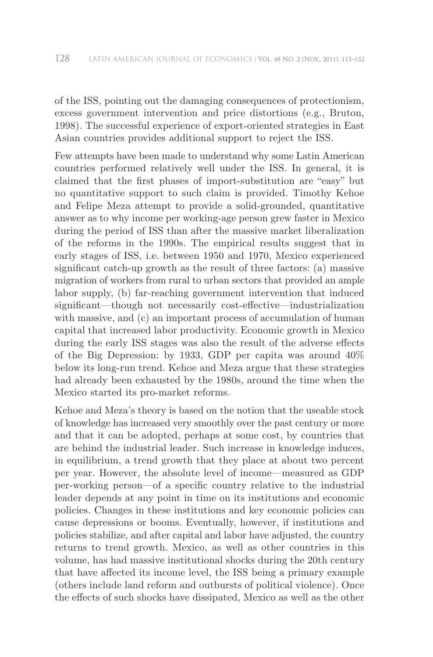of the ISS, pointing out the damaging consequences of protectionism, excess government intervention and price distortions (e.g., Bruton, 1998). The successful experience of export-oriented strategies in East Asian countries provides additional support to reject the ISS.

Few attempts have been made to understand why some Latin American countries performed relatively well under the ISS. In general, it is claimed that the first phases of import-substitution are "easy" but no quantitative support to such claim is provided. Timothy Kehoe and Felipe Meza attempt to provide a solid-grounded, quantitative answer as to why income per working-age person grew faster in Mexico during the period of ISS than after the massive market liberalization of the reforms in the 1990s. The empirical results suggest that in early stages of ISS, i.e. between 1950 and 1970, Mexico experienced significant catch-up growth as the result of three factors: (a) massive migration of workers from rural to urban sectors that provided an ample labor supply, (b) far-reaching government intervention that induced significant—though not necessarily cost-effective—industrialization with massive, and  $(c)$  an important process of accumulation of human capital that increased labor productivity. Economic growth in Mexico during the early ISS stages was also the result of the adverse effects of the Big Depression: by 1933, GDP per capita was around  $40\%$ below its long-run trend. Kehoe and Meza argue that these strategies had already been exhausted by the 1980s, around the time when the Mexico started its pro-market reforms.

Kehoe and Meza's theory is based on the notion that the useable stock of knowledge has increased very smoothly over the past century or more and that it can be adopted, perhaps at some cost, by countries that are behind the industrial leader. Such increase in knowledge induces, in equilibrium, a trend growth that they place at about two percent per year. However, the absolute level of income—measured as GDP per-working person—of a specific country relative to the industrial leader depends at any point in time on its institutions and economic policies. Changes in these institutions and key economic policies can cause depressions or booms. Eventually, however, if institutions and policies stabilize, and after capital and labor have adjusted, the country returns to trend growth. Mexico, as well as other countries in this volume, has had massive institutional shocks during the 20th century that have affected its income level, the ISS being a primary example (others include land reform and outbursts of political violence). Once the effects of such shocks have dissipated, Mexico as well as the other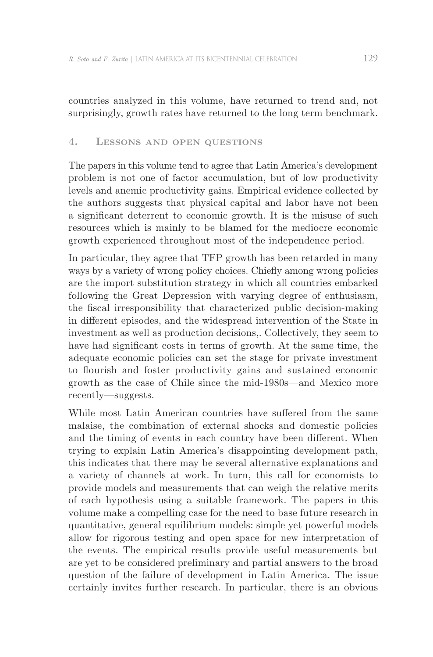countries analyzed in this volume, have returned to trend and, not surprisingly, growth rates have returned to the long term benchmark.

#### **4. Lessons and open questions**

The papers in this volume tend to agree that Latin America's development problem is not one of factor accumulation, but of low productivity levels and anemic productivity gains. Empirical evidence collected by the authors suggests that physical capital and labor have not been a significant deterrent to economic growth. It is the misuse of such resources which is mainly to be blamed for the mediocre economic growth experienced throughout most of the independence period.

In particular, they agree that TFP growth has been retarded in many ways by a variety of wrong policy choices. Chiefly among wrong policies are the import substitution strategy in which all countries embarked following the Great Depression with varying degree of enthusiasm, the fiscal irresponsibility that characterized public decision-making in different episodes, and the widespread intervention of the State in investment as well as production decisions,. Collectively, they seem to have had significant costs in terms of growth. At the same time, the adequate economic policies can set the stage for private investment to flourish and foster productivity gains and sustained economic growth as the case of Chile since the mid-1980s—and Mexico more recently—suggests.

While most Latin American countries have suffered from the same malaise, the combination of external shocks and domestic policies and the timing of events in each country have been different. When trying to explain Latin America's disappointing development path, this indicates that there may be several alternative explanations and a variety of channels at work. In turn, this call for economists to provide models and measurements that can weigh the relative merits of each hypothesis using a suitable framework. The papers in this volume make a compelling case for the need to base future research in quantitative, general equilibrium models: simple yet powerful models allow for rigorous testing and open space for new interpretation of the events. The empirical results provide useful measurements but are yet to be considered preliminary and partial answers to the broad question of the failure of development in Latin America. The issue certainly invites further research. In particular, there is an obvious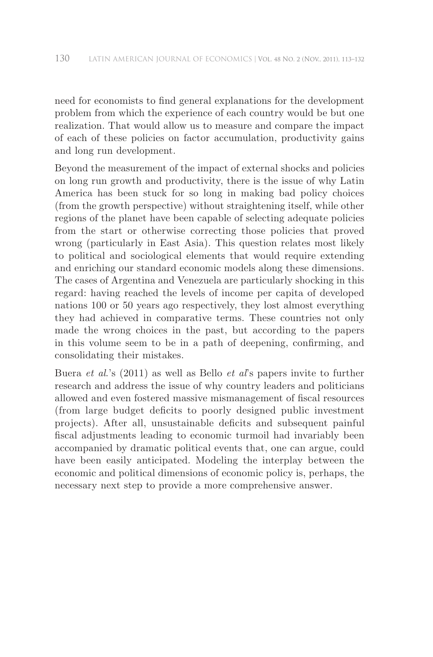need for economists to find general explanations for the development problem from which the experience of each country would be but one realization. That would allow us to measure and compare the impact of each of these policies on factor accumulation, productivity gains and long run development.

Beyond the measurement of the impact of external shocks and policies on long run growth and productivity, there is the issue of why Latin America has been stuck for so long in making bad policy choices (from the growth perspective) without straightening itself, while other regions of the planet have been capable of selecting adequate policies from the start or otherwise correcting those policies that proved wrong (particularly in East Asia). This question relates most likely to political and sociological elements that would require extending and enriching our standard economic models along these dimensions. The cases of Argentina and Venezuela are particularly shocking in this regard: having reached the levels of income per capita of developed nations 100 or 50 years ago respectively, they lost almost everything they had achieved in comparative terms. These countries not only made the wrong choices in the past, but according to the papers in this volume seem to be in a path of deepening, confirming, and consolidating their mistakes.

Buera *et al*.'s (2011) as well as Bello *et al*'s papers invite to further research and address the issue of why country leaders and politicians allowed and even fostered massive mismanagement of fiscal resources (from large budget deficits to poorly designed public investment projects). After all, unsustainable deficits and subsequent painful fiscal adjustments leading to economic turmoil had invariably been accompanied by dramatic political events that, one can argue, could have been easily anticipated. Modeling the interplay between the economic and political dimensions of economic policy is, perhaps, the necessary next step to provide a more comprehensive answer.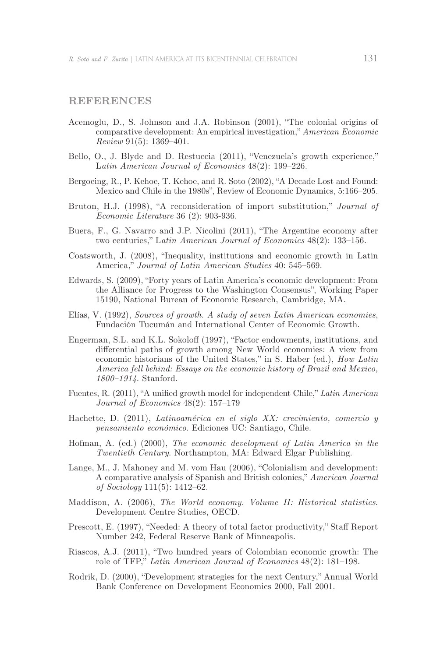#### **references**

- Acemoglu, D., S. Johnson and J.A. Robinson (2001), "The colonial origins of comparative development: An empirical investigation," *American Economic Review* 91(5): 1369–401.
- Bello, O., J. Blyde and D. Restuccia (2011), "Venezuela's growth experience," L*atin American Journal of Economics* 48(2): 199–226.
- Bergoeing, R., P. Kehoe, T. Kehoe, and R. Soto (2002), "A Decade Lost and Found: Mexico and Chile in the 1980s", Review of Economic Dynamics, 5:166–205.
- Bruton, H.J. (1998), "A reconsideration of import substitution," *Journal of Economic Literature* 36 (2): 903-936.
- Buera, F., G. Navarro and J.P. Nicolini (2011), "The Argentine economy after two centuries," L*atin American Journal of Economics* 48(2): 133–156.
- Coatsworth, J. (2008), "Inequality, institutions and economic growth in Latin America," *Journal of Latin American Studies* 40: 545–569.
- Edwards, S. (2009), "Forty years of Latin America's economic development: From the Alliance for Progress to the Washington Consensus", Working Paper 15190, National Bureau of Economic Research, Cambridge, MA.
- Elías, V. (1992), *Sources of growth. A study of seven Latin American economies*, Fundación Tucumán and International Center of Economic Growth.
- Engerman, S.L. and K.L. Sokoloff (1997), "Factor endowments, institutions, and differential paths of growth among New World economies: A view from economic historians of the United States," in S. Haber (ed.), *How Latin America fell behind: Essays on the economic history of Brazil and Mexico, 1800–1914*. Stanford.
- Fuentes, R. (2011), "A unified growth model for independent Chile," *Latin American Journal of Economics* 48(2): 157–179
- Hachette, D. (2011), *Latinoamérica en el siglo XX: crecimiento, comercio y pensamiento económico*. Ediciones UC: Santiago, Chile.
- Hofman, A. (ed.) (2000), *The economic development of Latin America in the Twentieth Century*. Northampton, MA: Edward Elgar Publishing.
- Lange, M., J. Mahoney and M. vom Hau (2006), "Colonialism and development: A comparative analysis of Spanish and British colonies," *American Journal of Sociology* 111(5): 1412–62.
- Maddison, A. (2006), *The World economy. Volume II: Historical statistics*. Development Centre Studies, OECD.
- Prescott, E. (1997), "Needed: A theory of total factor productivity," Staff Report Number 242, Federal Reserve Bank of Minneapolis.
- Riascos, A.J. (2011), "Two hundred years of Colombian economic growth: The role of TFP," *Latin American Journal of Economics* 48(2): 181–198.
- Rodrik, D. (2000), "Development strategies for the next Century," Annual World Bank Conference on Development Economics 2000, Fall 2001.